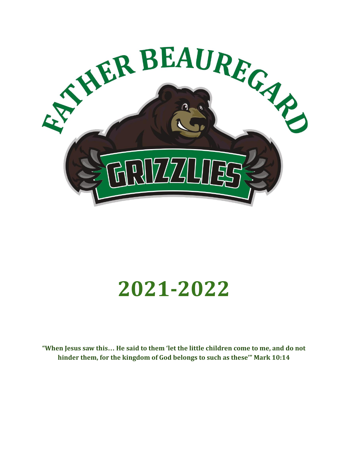

# **2021-2022**

**"When Jesus saw this… He said to them 'let the little children come to me, and do not hinder them, for the kingdom of God belongs to such as these'" Mark 10:14**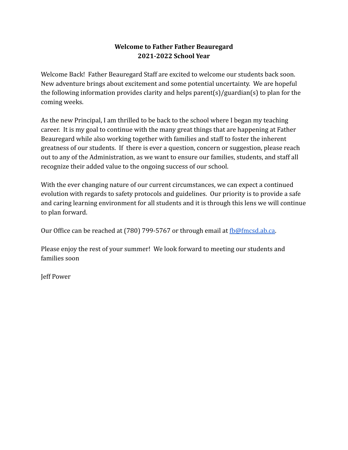# **Welcome to Father Father Beauregard 2021-2022 School Year**

Welcome Back! Father Beauregard Staff are excited to welcome our students back soon. New adventure brings about excitement and some potential uncertainty. We are hopeful the following information provides clarity and helps parent(s)/guardian(s) to plan for the coming weeks.

As the new Principal, I am thrilled to be back to the school where I began my teaching career. It is my goal to continue with the many great things that are happening at Father Beauregard while also working together with families and staff to foster the inherent greatness of our students. If there is ever a question, concern or suggestion, please reach out to any of the Administration, as we want to ensure our families, students, and staff all recognize their added value to the ongoing success of our school.

With the ever changing nature of our current circumstances, we can expect a continued evolution with regards to safety protocols and guidelines. Our priority is to provide a safe and caring learning environment for all students and it is through this lens we will continue to plan forward.

Our Office can be reached at (780) 799-5767 or through email at [fb@fmcsd.ab.ca.](mailto:fb@fmcsd.ab.ca)

Please enjoy the rest of your summer! We look forward to meeting our students and families soon

Jeff Power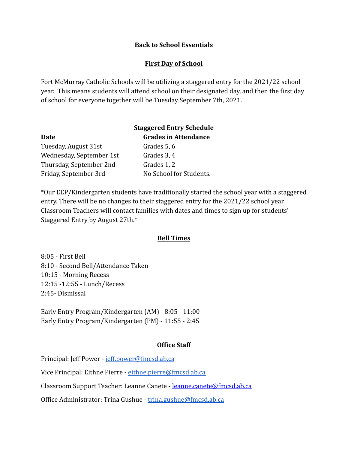### **Back to School Essentials**

#### **First Day of School**

Fort McMurray Catholic Schools will be utilizing a staggered entry for the 2021/22 school year. This means students will attend school on their designated day, and then the first day of school for everyone together will be Tuesday September 7th, 2021.

|                          | <b>Staggered Entry Schedule</b> |
|--------------------------|---------------------------------|
| <b>Date</b>              | <b>Grades in Attendance</b>     |
| Tuesday, August 31st     | Grades 5, 6                     |
| Wednesday, September 1st | Grades 3, 4                     |
| Thursday, September 2nd  | Grades 1, 2                     |
| Friday, September 3rd    | No School for Students.         |

\*Our EEP/Kindergarten students have traditionally started the school year with a staggered entry. There will be no changes to their staggered entry for the 2021/22 school year. Classroom Teachers will contact families with dates and times to sign up for students' Staggered Entry by August 27th.\*

#### **Bell Times**

8:05 - First Bell 8:10 - Second Bell/Attendance Taken 10:15 - Morning Recess 12:15 -12:55 - Lunch/Recess 2:45- Dismissal

Early Entry Program/Kindergarten (AM) - 8:05 - 11:00 Early Entry Program/Kindergarten (PM) - 11:55 - 2:45

### **Office Staff**

Principal: Jeff Power - [jeff.power@fmcsd.ab.ca](mailto:jeff.power@fmcsd.ab.ca)

Vice Principal: Eithne Pierre - [eithne.pierre@fmcsd.ab.ca](mailto:eithne.pierre@fmcsd.ab.ca)

Classroom Support Teacher: Leanne Canete - leanne.canete@fmcsd.ab.ca

Office Administrator: Trina Gushue - [trina.gushue@fmcsd.ab.ca](mailto:trina.gushue@fmcsd.ab.ca)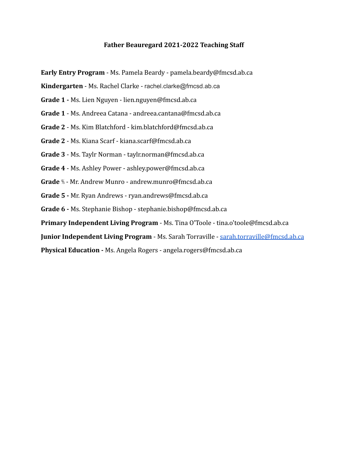#### **Father Beauregard 2021-2022 Teaching Staff**

**Early Entry Program** - Ms. Pamela Beardy - pamela.beardy@fmcsd.ab.ca

**Kindergarten** - Ms. Rachel Clarke - rachel.clarke@fmcsd.ab.ca

- **Grade 1 -** Ms. Lien Nguyen lien.nguyen@fmcsd.ab.ca
- **Grade 1** Ms. Andreea Catana andreea.cantana@fmcsd.ab.ca
- **Grade 2** Ms. Kim Blatchford kim.blatchford@fmcsd.ab.ca
- **Grade 2** Ms. Kiana Scarf kiana.scarf@fmcsd.ab.ca
- **Grade 3** Ms. Taylr Norman taylr.norman@fmcsd.ab.ca
- **Grade 4** Ms. Ashley Power ashley.power@fmcsd.ab.ca
- **Grade** ⅘ Mr. Andrew Munro andrew.munro@fmcsd.ab.ca
- **Grade 5 -** Mr. Ryan Andrews ryan.andrews@fmcsd.ab.ca
- **Grade 6 -** Ms. Stephanie Bishop stephanie.bishop@fmcsd.ab.ca

**Primary Independent Living Program** - Ms. Tina O'Toole - tina.o'toole@fmcsd.ab.ca

**Junior Independent Living Program - Ms. Sarah Torraville - [sarah.torraville@fmcsd.ab.ca](mailto:sarah.torraville@fmcsd.ab.ca)** 

**Physical Education -** Ms. Angela Rogers - angela.rogers@fmcsd.ab.ca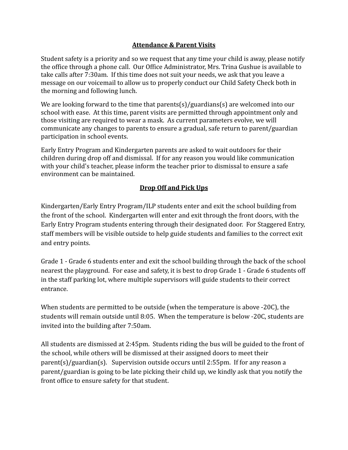### **Attendance & Parent Visits**

Student safety is a priority and so we request that any time your child is away, please notify the office through a phone call. Our Office Administrator, Mrs. Trina Gushue is available to take calls after 7:30am. If this time does not suit your needs, we ask that you leave a message on our voicemail to allow us to properly conduct our Child Safety Check both in the morning and following lunch.

We are looking forward to the time that parents(s)/guardians(s) are welcomed into our school with ease. At this time, parent visits are permitted through appointment only and those visiting are required to wear a mask. As current parameters evolve, we will communicate any changes to parents to ensure a gradual, safe return to parent/guardian participation in school events.

Early Entry Program and Kindergarten parents are asked to wait outdoors for their children during drop off and dismissal. If for any reason you would like communication with your child's teacher, please inform the teacher prior to dismissal to ensure a safe environment can be maintained.

#### **Drop Off and Pick Ups**

Kindergarten/Early Entry Program/ILP students enter and exit the school building from the front of the school. Kindergarten will enter and exit through the front doors, with the Early Entry Program students entering through their designated door. For Staggered Entry, staff members will be visible outside to help guide students and families to the correct exit and entry points.

Grade 1 - Grade 6 students enter and exit the school building through the back of the school nearest the playground. For ease and safety, it is best to drop Grade 1 - Grade 6 students off in the staff parking lot, where multiple supervisors will guide students to their correct entrance.

When students are permitted to be outside (when the temperature is above -20C), the students will remain outside until 8:05. When the temperature is below -20C, students are invited into the building after 7:50am.

All students are dismissed at 2:45pm. Students riding the bus will be guided to the front of the school, while others will be dismissed at their assigned doors to meet their parent(s)/guardian(s). Supervision outside occurs until 2:55pm. If for any reason a parent/guardian is going to be late picking their child up, we kindly ask that you notify the front office to ensure safety for that student.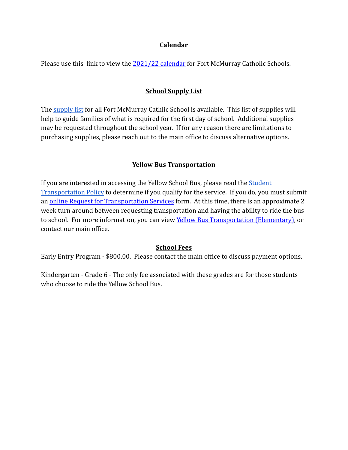#### **Calendar**

Please use this link to view the [2021/22 calendar](https://fmcschools.ca/wp-content/uploads/2021/05/2021-22-School-Calendar.pdf) for Fort McMurray Catholic Schools.

### **School Supply List**

The [supply list](https://fmcschools.ca/wp-content/uploads/2021/04/School-Supply-List-2021-2022.pdf) for all Fort McMurray Cathlic School is available. This list of supplies will help to guide families of what is required for the first day of school. Additional supplies may be requested throughout the school year. If for any reason there are limitations to purchasing supplies, please reach out to the main office to discuss alternative options.

### **Yellow Bus Transportation**

If you are interested in accessing the Yellow School Bus, please read the [Student](https://fmcschools.ca/bus-routes-and-stops/) [Transportation Policy](https://fmcschools.ca/bus-routes-and-stops/) to determine if you qualify for the service. If you do, you must submit an [online Request for Transportation Services](https://event-wizard.com/transportation2021-22/0/register/) form. At this time, there is an approximate 2 week turn around between requesting transportation and having the ability to ride the bus to school. For more information, you can view Yellow [Bus Transportation \(Elementary\),](http://fmcschools.ca/yellow-bus-transportation-elementary/) or contact our main office.

#### **School Fees**

Early Entry Program - \$800.00. Please contact the main office to discuss payment options.

Kindergarten - Grade 6 - The only fee associated with these grades are for those students who choose to ride the Yellow School Bus.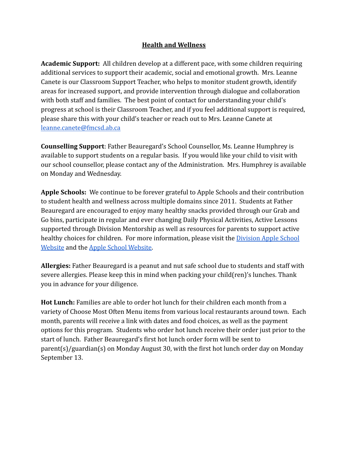# **Health and Wellness**

**Academic Support:** All children develop at a different pace, with some children requiring additional services to support their academic, social and emotional growth. Mrs. Leanne Canete is our Classroom Support Teacher, who helps to monitor student growth, identify areas for increased support, and provide intervention through dialogue and collaboration with both staff and families. The best point of contact for understanding your child's progress at school is their Classroom Teacher, and if you feel additional support is required, please share this with your child's teacher or reach out to Mrs. Leanne Canete at [leanne.canete@fmcsd.ab.ca](mailto:leanne.canete@fmcsd.ab.ca)

**Counselling Support**: Father Beauregard's School Counsellor, Ms. Leanne Humphrey is available to support students on a regular basis. If you would like your child to visit with our school counsellor, please contact any of the Administration. Mrs. Humphrey is available on Monday and Wednesday.

**Apple Schools:** We continue to be forever grateful to Apple Schools and their contribution to student health and wellness across multiple domains since 2011. Students at Father Beauregard are encouraged to enjoy many healthy snacks provided through our Grab and Go bins, participate in regular and ever changing Daily Physical Activities, Active Lessons supported through Division Mentorship as well as resources for parents to support active healthy choices for children. For more information, please visit the [Division Apple School](https://fmcschools.ca/apple-schools/) [Website](https://fmcschools.ca/apple-schools/) and the [Apple School Website.](https://appleschools.ca/)

**Allergies:** Father Beauregard is a peanut and nut safe school due to students and staff with severe allergies. Please keep this in mind when packing your child(ren)'s lunches. Thank you in advance for your diligence.

**Hot Lunch:** Families are able to order hot lunch for their children each month from a variety of Choose Most Often Menu items from various local restaurants around town. Each month, parents will receive a link with dates and food choices, as well as the payment options for this program. Students who order hot lunch receive their order just prior to the start of lunch. Father Beauregard's first hot lunch order form will be sent to parent(s)/guardian(s) on Monday August 30, with the first hot lunch order day on Monday September 13.